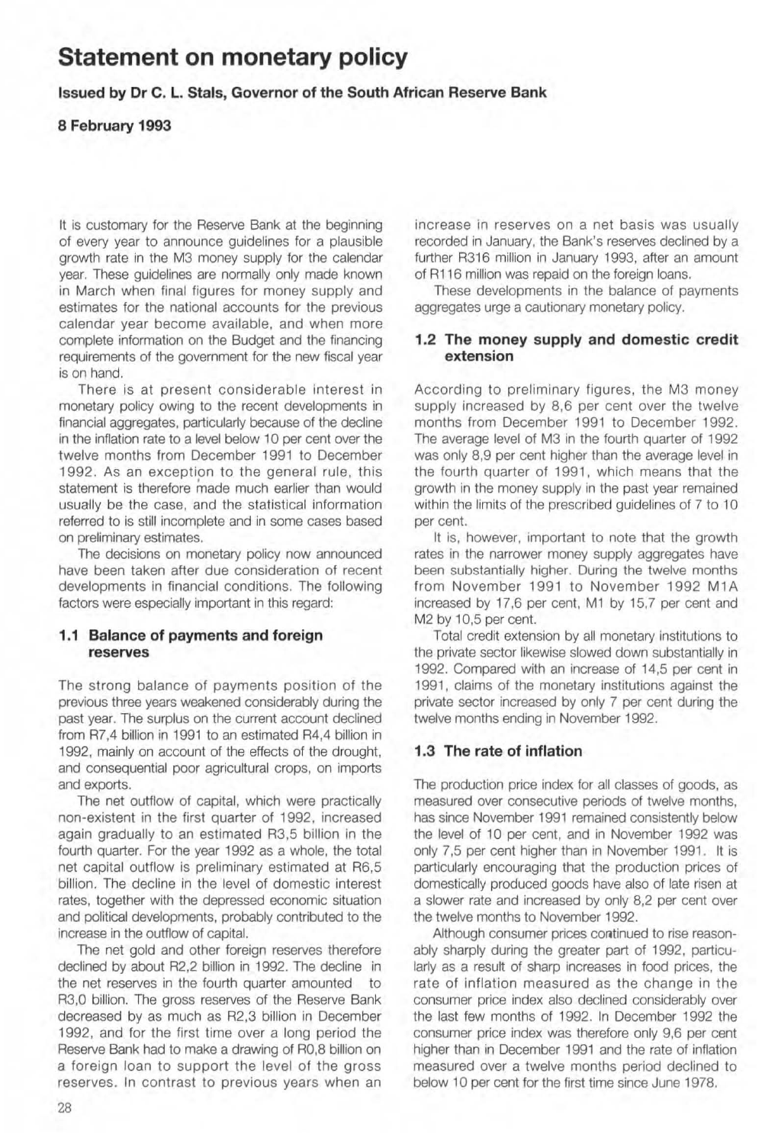# **Statement on monetary policy**

**Issued by Dr C. L. Stals, Governor of the South African Reserve Bank** 

#### **8 February 1993**

It is customary for the Reserve Bank at the beginning of every year to announce guidelines for a plausible growth rate in the M3 money supply for the calendar year. These guidelines are normally only made known in March when final figures for money supply and estimates for the national accounts for the previous calendar year become available, and when more complete information on the Budget and the financing requirements of the government for the new fiscal year is on hand.

There is at present considerable interest in monetary policy owing to the recent developments in financial aggregates, particularly because of the decline in the infiation rate to a level below 10 per cent over the twelve months from December 1991 to December 1992. As an exception to the general rule, this statement is therefore made much earlier than would usually be the case, and the statistical information referred to is still incomplete and in some cases based on preliminary estimates.

The decisions on monetary policy now announced have been taken after due consideration of recent developments in financial conditions. The following factors were especially important in this regard:

### **1.1 Balance of payments and foreign reserves**

The strong balance of payments position of the previous three years weakened considerably during the past year. The surplus on the current account declined from R7,4 billion in 1991 to an estimated R4,4 billion in 1992, mainly on account of the effects of the drought, and consequential poor agricultural crops, on imports and exports.

The net outflow of capital, which were practically non-existent in the first quarter of 1992, increased again gradually to an estimated R3,5 billion in the fourth quarter. For the year 1992 as a whole, the total net capital outflow is preliminary estimated at R6,5 billion. The decline in the level of domestic interest rates, together with the depressed economic situation and political developments, probably contributed to the increase in the outflow of capital.

The net gold and other foreign reserves therefore declined by about R2,2 billion in 1992. The decline in the net reserves in the fourth quarter amounted to R3,0 billion. The gross reserves of the Reserve Bank decreased by as much as R2,3 billion in December 1992, and for the first time over a long period the Reserve Bank had to make a drawing of RO,8 billion on a foreign loan to support the level of the gross reserves. In contrast to previous years when an

increase in reserves on a net basis was usually recorded in January, the Bank's reserves declined by a further R316 million in January 1993, after an amount of R116 million was repaid on the foreign loans.

These developments in the balance of payments aggregates urge a cautionary monetary policy.

### 1,2 **The money supply and domestic credit extension**

According to preliminary figures, the M3 money supply increased by 8,6 per cent over the twelve months from December 1991 to December 1992. The average level of M3 in the fourth quarter of 1992 was only 8,9 per cent higher than the average level in the fourth quarter of 1991, which means that the growth in the money supply in the past year remained within the limits of the prescribed guidelines of 7 to 10 per cent.

It is, however, important to note that the growth rates in the narrower money supply aggregates have been substantially higher. During the twelve months from November 1991 to November 1992 MIA increased by 17,6 per cent, Ml by 15,7 per cent and M2 by 10,5 per cent.

Total credit extension by all monetary institutions to the private sector likewise slowed down substantially in 1992. Compared with an increase of 14,5 per cent in 1991, claims of the monetary institutions against the private sector increased by only 7 per cent during the twelve months ending in November 1992.

## **1.3 The rate of inflation**

The production price index for all classes of goods, as measured over consecutive periods of twelve months, has since November 1991 remained consistently below the level of 10 per cent, and in November 1992 was only 7,5 per cent higher than in November 1991. It is particularly encouraging that the production prices of domestically produced goods have also of late risen at a slower rate and increased by only 8,2 per cent over the twelve months to November 1992.

Although consumer prices continued to rise reasonably sharply during the greater part of 1992, particularly as a result of sharp increases in food prices, the rate of inflation measured as the change in the consumer price index also declined considerably over the last few months of 1992. In December 1992 the consumer price index was therefore only 9,6 per cent higher than in December 1991 and the rate of inflation measured over a twelve months period declined to below 10 per cent for the first time since June 1978.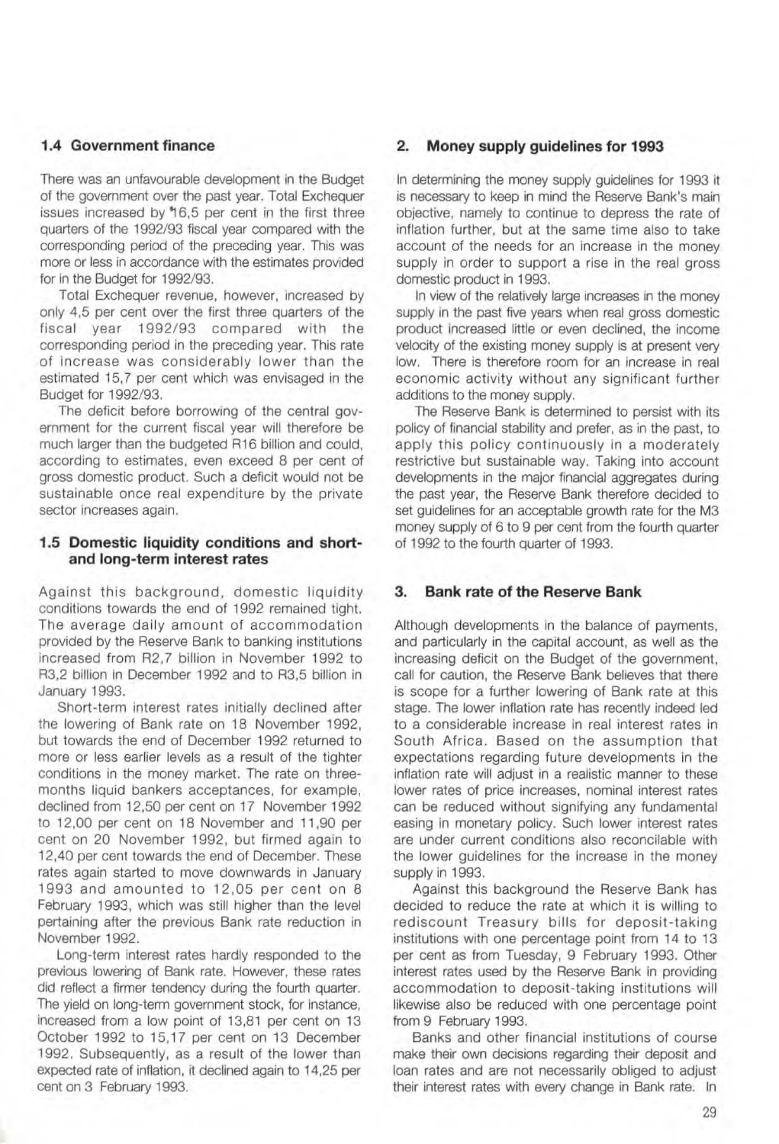## **1.4 Government finance**

There was an unfavourable development in the Budget of the govemment over the past year. Total Exchequer issues increased by '16,5 per cent in the first three quarters of the *1992/93* fiscal year compared with the corresponding period of the preceding year. This was more or less in accordance with the estimates provided for in the Budget for *1992/93.* 

Total Exchequer revenue, however, increased by only 4,5 per cent over the first three quarters of the fiscal year *1992/93* compared with the corresponding period in the preceding year. This rate of increase was considerably lower than the estimated 15,7 per cent which was envisaged in the Budget for *1992/93.* 

The deficit before borrowing of the central government for the current fiscal year will therefore be much larger than the budgeted R16 billion and could, according to estimates, even exceed 8 per cent of gross domestic product. Such a deficit would not be sustainable once real expenditure by the private sector increases again.

### **1.5 Domestic liquidity conditions and shortand long-term interest rates**

Against this background, domestic liquidity conditions towards the end of 1992 remained tight. The average daily amount of accommodation provided by the Reserve Bank to banking institutions increased from R2,7 billion in November 1992 to R3,2 billion in December 1992 and to R3,5 billion in January 1993.

Short-term interest rates initially declined after the lowering of Bank rate on 18 November 1992, but towards the end of December 1992 returned to more or less earlier levels as a result of the tighter conditions in the money market. The rate on threemonths liquid bankers acceptances, for example, declined from 12,50 per cent on 17 November 1992 to 12,00 per cent on 18 November and 11,90 per cent on 20 November 1992, but firmed again to 12,40 per cent towards the end of December. These rates again started to move downwards in January 1993 and amounted to 12,05 per cent on 8 February 1993, which was still higher than the level pertaining after the previous Bank rate reduction in November 1992.

Long-term interest rates hardly responded to the previous lowering of Bank rate. However, these rates did reflect a firmer tendency during the fourth quarter. The yield on long-term government stock, for instance, increased from a low point of 13,81 per cent on 13 October 1992 to 15,17 per cent on 13 December 1992. Subsequently, as a result of the lower than expected rate of inflation, it declined again to 14,25 per cent on 3 February 1993.

## 2, **Money supply guidelines for 1993**

In determining the money supply guidelines for 1993 it is necessary to keep in mind the Reserve Bank's main objective, namely to continue to depress the rate of inflation further, but at the same time also to take account of the needs for an increase in the money supply in order to support a rise in the real gross domestic product in 1993.

In view of the relatively large increases in the money supply in the past five years when real gross domestic product increased little or even declined, the income velocity of the existing money supply is at present very low. There is therefore room for an increase in real economic activity without any significant further additions to the money supply.

The Reserve Bank is determined to persist with its policy of financial stability and prefer, as in the past, to apply this policy continuously in a moderately restrictive but sustainable way. Taking into account developments in the major financial aggregates during the past year, the Reserve Bank therefore decided to set guidelines for an acceptable growth rate for the M3 money supply of 6 to 9 per cent from the fourth quarter of 1992 to the fourth quarter of 1993.

## 3, **Bank rate of the Reserve Bank**

Although developments in the balance of payments, and particularly in the capital account, as well as the increasing deficit on the Budqet of the government, call for caution, the Reserve Bank believes that there is scope for a further lowering of Bank rate at this stage. The lower inflation rate has recently indeed led to a considerable increase in real interest rates in South Africa. Based on the assumption that expectations regarding future developments in the inflation rate will adjust in a realistic manner to these lower rates of price increases, nominal interest rates can be reduced without signifying any fundamental easing in monetary policy. Such lower interest rates are under current conditions also reconcilable with the lower guidelines for the increase in the money supply in 1993.

Against this background the Reserve Bank has decided to reduce the rate at which it is willing to rediscount Treasury bills for deposit-taking institutions with one percentage point from 14 to 13 per cent as from Tuesday, 9 February 1993. Other interest rates used by the Reserve Bank in providing accommodation to deposit-taking institutions will likewise also be reduced with one percentage point from 9 February 1993.

Banks and other financial institutions of course make their own decisions regarding their deposit and loan rates and are not necessarily obliged to adjust their interest rates with every change in Bank rate. In